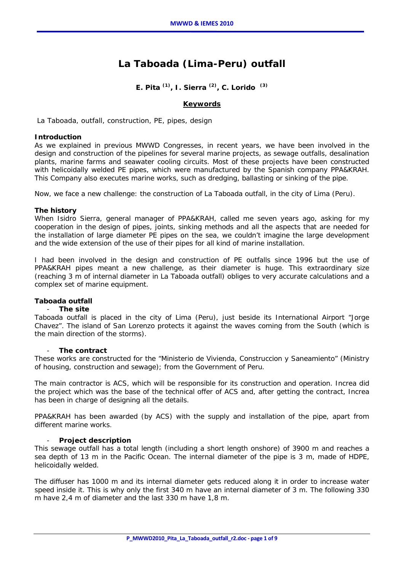# **La Taboada (Lima-Peru) outfall**

## **E. Pita (1), I. Sierra (2), C. Lorido (3)**

#### **Keywords**

 *La Taboada, outfall, construction, PE, pipes, design* 

#### **Introduction**

As we explained in previous MWWD Congresses, in recent years, we have been involved in the design and construction of the pipelines for several marine projects, as sewage outfalls, desalination plants, marine farms and seawater cooling circuits. Most of these projects have been constructed with helicoidally welded PE pipes, which were manufactured by the Spanish company PPA&KRAH. This Company also executes marine works, such as dredging, ballasting or sinking of the pipe.

Now, we face a new challenge: the construction of La Taboada outfall, in the city of Lima (Peru).

#### **The history**

When Isidro Sierra, general manager of PPA&KRAH, called me seven years ago, asking for my cooperation in the design of pipes, joints, sinking methods and all the aspects that are needed for the installation of large diameter PE pipes on the sea, we couldn't imagine the large development and the wide extension of the use of their pipes for all kind of marine installation.

I had been involved in the design and construction of PE outfalls since 1996 but the use of PPA&KRAH pipes meant a new challenge, as their diameter is huge. This extraordinary size (reaching 3 m of internal diameter in La Taboada outfall) obliges to very accurate calculations and a complex set of marine equipment.

## **Taboada outfall**

#### - **The site**

Taboada outfall is placed in the city of Lima (Peru), just beside its International Airport "Jorge Chavez". The island of San Lorenzo protects it against the waves coming from the South (which is the main direction of the storms).

#### - **The contract**

These works are constructed for the "Ministerio de Vivienda, Construccion y Saneamiento" (Ministry of housing, construction and sewage); from the Government of Peru.

The main contractor is ACS, which will be responsible for its construction and operation. Increa did the project which was the base of the technical offer of ACS and, after getting the contract, Increa has been in charge of designing all the details.

PPA&KRAH has been awarded (by ACS) with the supply and installation of the pipe, apart from different marine works.

#### - **Project description**

This sewage outfall has a total length (including a short length onshore) of 3900 m and reaches a sea depth of 13 m in the Pacific Ocean. The internal diameter of the pipe is 3 m, made of HDPE, helicoidally welded.

The diffuser has 1000 m and its internal diameter gets reduced along it in order to increase water speed inside it. This is why only the first 340 m have an internal diameter of 3 m. The following 330 m have 2,4 m of diameter and the last 330 m have 1,8 m.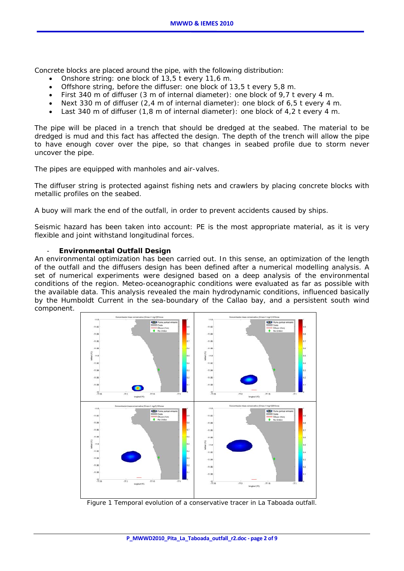Concrete blocks are placed around the pipe, with the following distribution:

- Onshore string: one block of 13,5 t every 11,6 m.
- Offshore string, before the diffuser: one block of 13,5 t every 5,8 m.
- First 340 m of diffuser (3 m of internal diameter): one block of 9,7 t every 4 m.
- Next 330 m of diffuser (2,4 m of internal diameter): one block of 6,5 t every 4 m.
- Last 340 m of diffuser (1,8 m of internal diameter): one block of 4,2 t every 4 m.

The pipe will be placed in a trench that should be dredged at the seabed. The material to be dredged is mud and this fact has affected the design. The depth of the trench will allow the pipe to have enough cover over the pipe, so that changes in seabed profile due to storm never uncover the pipe.

The pipes are equipped with manholes and air-valves.

The diffuser string is protected against fishing nets and crawlers by placing concrete blocks with metallic profiles on the seabed.

A buoy will mark the end of the outfall, in order to prevent accidents caused by ships.

Seismic hazard has been taken into account: PE is the most appropriate material, as it is very flexible and joint withstand longitudinal forces.

#### - **Environmental Outfall Design**

An environmental optimization has been carried out. In this sense, an optimization of the length of the outfall and the diffusers design has been defined after a numerical modelling analysis. A set of numerical experiments were designed based on a deep analysis of the environmental conditions of the region. Meteo-oceanographic conditions were evaluated as far as possible with the available data. This analysis revealed the main hydrodynamic conditions, influenced basically by the Humboldt Current in the sea-boundary of the Callao bay, and a persistent south wind component.



*Figure 1 Temporal evolution of a conservative tracer in La Taboada outfall.*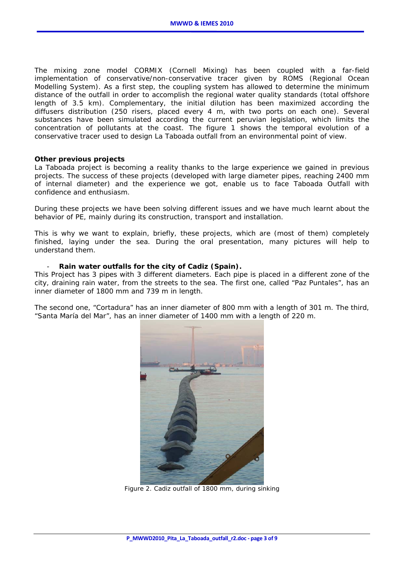The mixing zone model CORMIX (Cornell Mixing) has been coupled with a far-field implementation of conservative/non-conservative tracer given by ROMS (Regional Ocean Modelling System). As a first step, the coupling system has allowed to determine the minimum distance of the outfall in order to accomplish the regional water quality standards (total offshore length of 3.5 km). Complementary, the initial dilution has been maximized according the diffusers distribution (250 risers, placed every 4 m, with two ports on each one). Several substances have been simulated according the current peruvian legislation, which limits the concentration of pollutants at the coast. The figure 1 shows the temporal evolution of a conservative tracer used to design La Taboada outfall from an environmental point of view.

#### **Other previous projects**

La Taboada project is becoming a reality thanks to the large experience we gained in previous projects. The success of these projects (developed with large diameter pipes, reaching 2400 mm of internal diameter) and the experience we got, enable us to face Taboada Outfall with confidence and enthusiasm.

During these projects we have been solving different issues and we have much learnt about the behavior of PE, mainly during its construction, transport and installation.

This is why we want to explain, briefly, these projects, which are (most of them) completely finished, laying under the sea. During the oral presentation, many pictures will help to understand them.

### Rain water outfalls for the city of Cadiz (Spain).

This Project has 3 pipes with 3 different diameters. Each pipe is placed in a different zone of the city, draining rain water, from the streets to the sea. The first one, called "Paz Puntales", has an inner diameter of 1800 mm and 739 m in length.

The second one, "Cortadura" has an inner diameter of 800 mm with a length of 301 m. The third, "Santa María del Mar", has an inner diameter of 1400 mm with a length of 220 m.



*Figure 2. Cadiz outfall of 1800 mm, during sinking*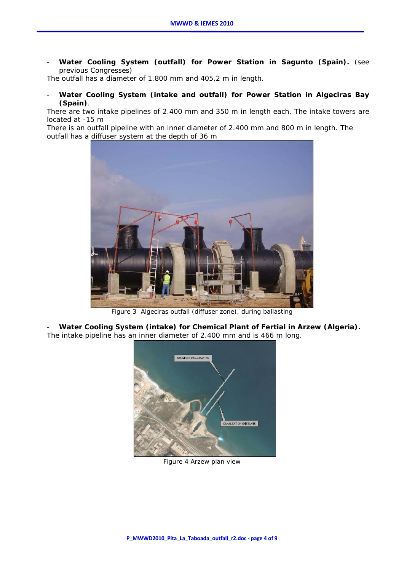- **Water Cooling System (outfall) for Power Station in Sagunto (Spain).** (see previous Congresses)

The outfall has a diameter of 1.800 mm and 405,2 m in length.

Water Cooling System (intake and outfall) for Power Station in Algeciras Bay **(Spain)**.

There are two intake pipelines of 2.400 mm and 350 m in length each. The intake towers are located at -15 m

There is an outfall pipeline with an inner diameter of 2.400 mm and 800 m in length. The outfall has a diffuser system at the depth of 36 m



*Figure 3 Algeciras outfall (diffuser zone), during ballasting* 

Water Cooling System (intake) for Chemical Plant of Fertial in Arzew (Algeria). The intake pipeline has an inner diameter of 2.400 mm and is 466 m long.



*Figure 4 Arzew plan view*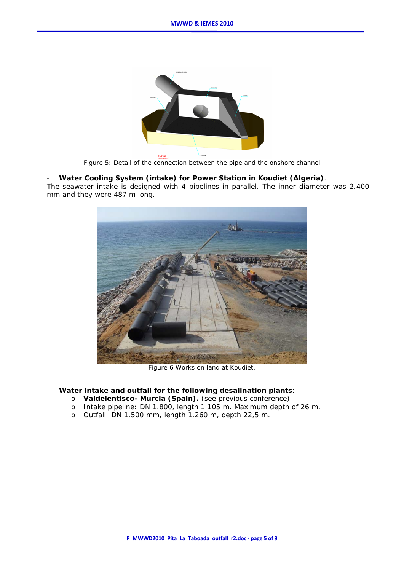

*Figure 5: Detail of the connection between the pipe and the onshore channel*

#### - **Water Cooling System (intake) for Power Station in Koudiet (Algeria)**.

The seawater intake is designed with 4 pipelines in parallel. The inner diameter was 2.400 mm and they were 487 m long.



*Figure 6 Works on land at Koudiet.* 

Water intake and outfall for the following desalination plants:

- o **Valdelentisco- Murcia (Spain).** (see previous conference)
- o Intake pipeline: DN 1.800, length 1.105 m. Maximum depth of 26 m.
- o Outfall: DN 1.500 mm, length 1.260 m, depth 22,5 m.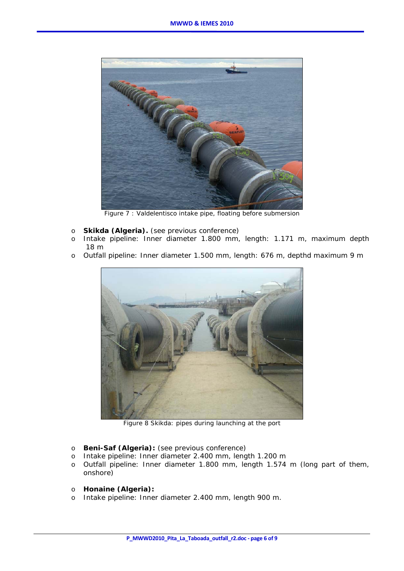

*Figure 7 : Valdelentisco intake pipe, floating before submersion* 

- o **Skikda (Algeria).** (see previous conference)
- o Intake pipeline: Inner diameter 1.800 mm, length: 1.171 m, maximum depth 18 m
- o Outfall pipeline: Inner diameter 1.500 mm, length: 676 m, depthd maximum 9 m



*Figure 8 Skikda: pipes during launching at the port* 

- o **Beni-Saf (Algeria):** (see previous conference)
- o Intake pipeline: Inner diameter 2.400 mm, length 1.200 m
- o Outfall pipeline: Inner diameter 1.800 mm, length 1.574 m (long part of them, onshore)
- o **Honaine (Algeria):**
- o Intake pipeline: Inner diameter 2.400 mm, length 900 m.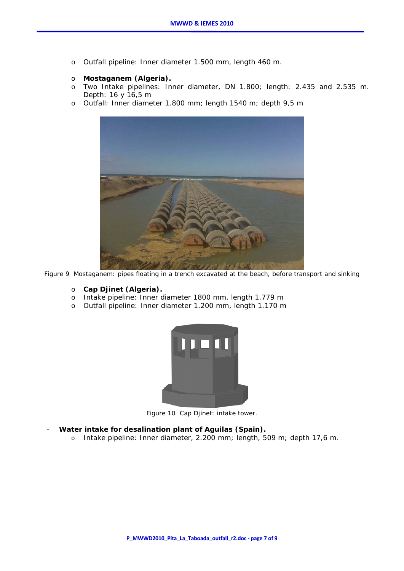- o Outfall pipeline: Inner diameter 1.500 mm, length 460 m.
- o **Mostaganem (Algeria).**
- o Two Intake pipelines: Inner diameter, DN 1.800; length: 2.435 and 2.535 m. Depth: 16 y 16,5 m
- o Outfall: Inner diameter 1.800 mm; length 1540 m; depth 9,5 m



*Figure 9 Mostaganem: pipes floating in a trench excavated at the beach, before transport and sinking* 

- o **Cap Djinet (Algeria).**
- o Intake pipeline: Inner diameter 1800 mm, length 1.779 m
- o Outfall pipeline: Inner diameter 1.200 mm, length 1.170 m



*Figure 10 Cap Djinet: intake tower.* 

- Water intake for desalination plant of Aguilas (Spain).
	- o Intake pipeline: Inner diameter, 2.200 mm; length, 509 m; depth 17,6 m.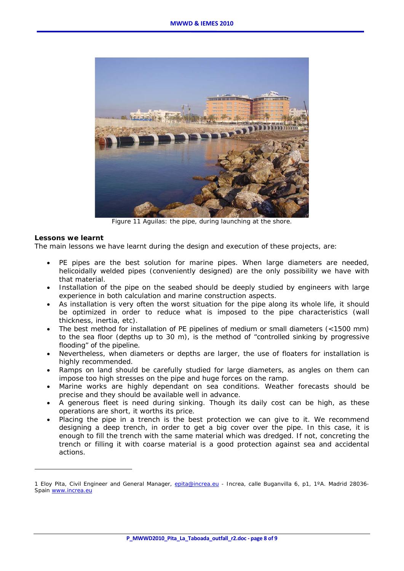

*Figure 11 Aguilas: the pipe, during launching at the shore.* 

#### **Lessons we learnt**

 $\overline{a}$ 

The main lessons we have learnt during the design and execution of these projects, are:

- PE pipes are the best solution for marine pipes. When large diameters are needed, helicoidally welded pipes (conveniently designed) are the only possibility we have with that material.
- Installation of the pipe on the seabed should be deeply studied by engineers with large experience in both calculation and marine construction aspects.
- As installation is very often the worst situation for the pipe along its whole life, it should be optimized in order to reduce what is imposed to the pipe characteristics (wall thickness, inertia, etc).
- The best method for installation of PE pipelines of medium or small diameters (<1500 mm) to the sea floor (depths up to 30 m), is the method of "controlled sinking by progressive flooding" of the pipeline.
- Nevertheless, when diameters or depths are larger, the use of floaters for installation is highly recommended.
- Ramps on land should be carefully studied for large diameters, as angles on them can impose too high stresses on the pipe and huge forces on the ramp.
- Marine works are highly dependant on sea conditions. Weather forecasts should be precise and they should be available well in advance.
- A generous fleet is need during sinking. Though its daily cost can be high, as these operations are short, it worths its price.
- Placing the pipe in a trench is the best protection we can give to it. We recommend designing a deep trench, in order to get a big cover over the pipe. In this case, it is enough to fill the trench with the same material which was dredged. If not, concreting the trench or filling it with coarse material is a good protection against sea and accidental actions.

<sup>1</sup> Eloy Pita, Civil Engineer and General Manager, *epita@increa.eu* - Increa, calle Buganvilla 6, p1, 1°A. Madrid 28036-Spain www.increa.eu